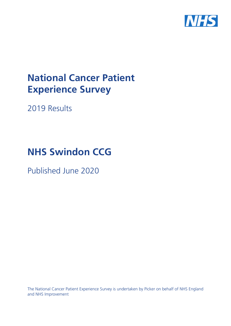

# **National Cancer Patient Experience Survey**

2019 Results

# **NHS Swindon CCG**

Published June 2020

The National Cancer Patient Experience Survey is undertaken by Picker on behalf of NHS England and NHS Improvement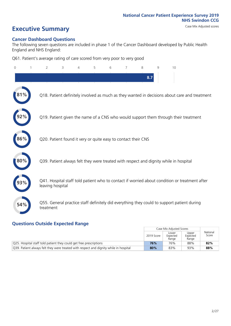# **Executive Summary** Case Mix Adjusted scores

#### **Cancer Dashboard Questions**

The following seven questions are included in phase 1 of the Cancer Dashboard developed by Public Health England and NHS England:

Q61. Patient's average rating of care scored from very poor to very good

| $\overline{0}$ | $\overline{2}$   | 3                                                             | $\overline{4}$ | 5 | 6 | $\overline{7}$ | 8   | 9 | 10                                                                                            |
|----------------|------------------|---------------------------------------------------------------|----------------|---|---|----------------|-----|---|-----------------------------------------------------------------------------------------------|
|                |                  |                                                               |                |   |   |                | 8.7 |   |                                                                                               |
|                |                  |                                                               |                |   |   |                |     |   | Q18. Patient definitely involved as much as they wanted in decisions about care and treatment |
|                |                  |                                                               |                |   |   |                |     |   | Q19. Patient given the name of a CNS who would support them through their treatment           |
| 86%            |                  | Q20. Patient found it very or quite easy to contact their CNS |                |   |   |                |     |   |                                                                                               |
| 80%            |                  |                                                               |                |   |   |                |     |   | Q39. Patient always felt they were treated with respect and dignity while in hospital         |
|                | leaving hospital |                                                               |                |   |   |                |     |   | Q41. Hospital staff told patient who to contact if worried about condition or treatment after |
| 54%            | treatment        |                                                               |                |   |   |                |     |   | Q55. General practice staff definitely did everything they could to support patient during    |

### **Questions Outside Expected Range**

|                                                                                       |            | Case Mix Adjusted Scores   |                            |                   |
|---------------------------------------------------------------------------------------|------------|----------------------------|----------------------------|-------------------|
|                                                                                       | 2019 Score | Lower<br>Expected<br>Range | Upper<br>Expected<br>Range | National<br>Score |
| Q25. Hospital staff told patient they could get free prescriptions                    | 76%        | 76%                        | 88%                        | 82%               |
| Q39. Patient always felt they were treated with respect and dignity while in hospital | 80%        | 83%                        | 93%                        | 88%               |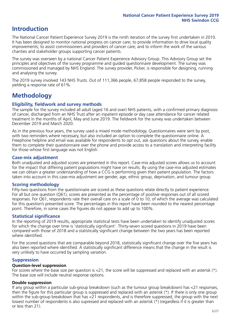## **Introduction**

The National Cancer Patient Experience Survey 2019 is the ninth iteration of the survey first undertaken in 2010. It has been designed to monitor national progress on cancer care; to provide information to drive local quality improvements; to assist commissioners and providers of cancer care; and to inform the work of the various charities and stakeholder groups supporting cancer patients.

The survey was overseen by a national Cancer Patient Experience Advisory Group. This Advisory Group set the principles and objectives of the survey programme and guided questionnaire development. The survey was commissioned and managed by NHS England. The survey provider, Picker, is responsible for designing, running and analysing the survey.

The 2019 survey involved 143 NHS Trusts. Out of 111,366 people, 67,858 people responded to the survey, yielding a response rate of 61%.

# **Methodology**

#### **Eligibility, eldwork and survey methods**

The sample for the survey included all adult (aged 16 and over) NHS patients, with a confirmed primary diagnosis of cancer, discharged from an NHS Trust after an inpatient episode or day case attendance for cancer related treatment in the months of April, May and June 2019. The fieldwork for the survey was undertaken between December 2019 and March 2020.

As in the previous four years, the survey used a mixed mode methodology. Questionnaires were sent by post, with two reminders where necessary, but also included an option to complete the questionnaire online. A Freephone helpline and email was available for respondents to opt out, ask questions about the survey, enable them to complete their questionnaire over the phone and provide access to a translation and interpreting facility for those whose first language was not English.

#### **Case-mix adjustment**

Both unadjusted and adjusted scores are presented in this report. Case-mix adjusted scores allows us to account for the impact that differing patient populations might have on results. By using the case-mix adjusted estimates we can obtain a greater understanding of how a CCG is performing given their patient population. The factors taken into account in this case-mix adjustment are gender, age, ethnic group, deprivation, and tumour group.

#### **Scoring methodology**

Fifty-two questions from the questionnaire are scored as these questions relate directly to patient experience. For all but one question (Q61), scores are presented as the percentage of positive responses out of all scored responses. For Q61, respondents rate their overall care on a scale of 0 to 10, of which the average was calculated for this question's presented score. The percentages in this report have been rounded to the nearest percentage point. Therefore, in some cases the figures do not appear to add up to 100%.

#### **Statistical significance**

In the reporting of 2019 results, appropriate statistical tests have been undertaken to identify unadjusted scores for which the change over time is 'statistically significant'. Thirty-seven scored questions in 2019 have been compared with those of 2018 and a statistically significant change between the two years has been reported where identified.

For the scored questions that are comparable beyond 2018, statistically significant change over the five years has also been reported where identified. A statistically significant difference means that the change in the result is very unlikely to have occurred by sampling variation.

#### **Suppression**

#### **Question-level suppression**

For scores where the base size per question is  $<$ 21, the score will be suppressed and replaced with an asterisk (\*). The base size will include neutral response options.

#### **Double suppression**

If any group within a particular sub-group breakdown (such as the tumour group breakdown) has <21 responses, then the figure for this particular group is suppressed and replaced with an asterisk (\*). If there is only one group within the sub-group breakdown that has <21 respondents, and is therefore suppressed, the group with the next lowest number of respondents is also supressed and replaced with an asterisk (\*) (regardless if it is greater than or less than 21).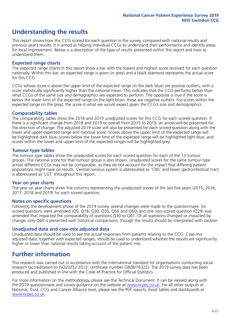# **Understanding the results**

This report shows how this CCG scored for each question in the survey, compared with national results and previous year's results. It is aimed at helping individual CCGs to understand their performance and identify areas for local improvement. Below is a description of the type of results presented within this report and how to understand them.

#### **Expected range charts**

The expected range charts in this report show a bar with the lowest and highest score received for each question nationally. Within this bar, an expected range is given (in grey) and a black diamond represents the actual score for this CCG.

CCGs whose score is above the upper limit of the expected range (in the dark blue) are positive outliers, with a score statistically significantly higher than the national mean. This indicates that the CCG performs better than what CCGs of the same size and demographics are expected to perform. The opposite is true if the score is below the lower limit of the expected range (in the light blue); these are negative outliers. For scores within the expected range (in the grey), the score is what we would expect given the CCG's size and demographics.

#### **Comparability tables**

The comparability tables show the 2018 and 2019 unadjusted scores for this CCG for each scored question. If there is a significant change from 2018 and 2019 or overall from 2015 to 2019, an arrow will be presented for the direction of change. The adjusted 2019 score will also be presented for each scored question along with the lower and upper expected range and national score. Scores above the upper limit of the expected range will be highlighted dark blue, scores below the lower limit of the expected range will be highlighted light blue, and scores within the lower and upper limit of the expected ranges will be highlighted grey.

#### **Tumour type tables**

The tumour type tables show the unadjusted scores for each scored question for each of the 13 tumour groups. The national score for that tumour group is also shown. Unadjusted scores for the same tumour type across different CCGs may not be comparable, as they do not account for the impact that differing patient populations might have on results. Central nervous system is abbreviated as 'CNS' and lower gastrointestinal tract is abbreviated as 'LGT' throughout this report.

#### **Year on year charts**

The year on year charts show five columns representing the unadjusted scores of the last five years (2015, 2016, 2017, 2018 and 2019) for each scored question.

#### **Notes on specific questions**

Following the development phase of the 2019 survey, several changes were made to the questionnaire. Six scored questions were amended (Q5, Q18, Q30, Q35, Q56 and Q60) and one non-scored question (Q29) was amended that impacted the comparability of questions Q30 to Q41. Of all questions changed or impacted by change, only Q60 is presented with historical comparisons; though the results should be interpreted with caution.

#### **Unadjusted data and case-mix adjusted data**

Unadjusted data should be used to see the actual responses from patients relating to the CCG. Case-mix adjusted data, together with expected ranges, should be used to understand whether the results are significantly higher or lower than national results taking account of the patient mix.

### **Further information**

This research was carried out in accordance with the international standard for organisations conducting social research (accreditation to ISO20252:2012; certificate number GB08/74322). The 2019 survey data has been produced and published in line with the Code of Practice for Official Statistics.

For more information on the methodology, please see the Technical Document. It can be viewed along with the 2019 questionnaire and survey quidance on the website at [www.ncpes.co.uk](https://www.ncpes.co.uk/supporting-documents). For all other outputs at National, Trust, CCG and Cancer Alliance level, please see the PDF reports, Excel tables and dashboards at [www.ncpes.co.uk.](https://www.ncpes.co.uk/current-results)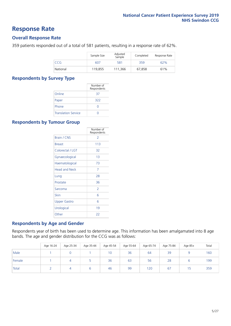### **Response Rate**

#### **Overall Response Rate**

359 patients responded out of a total of 581 patients, resulting in a response rate of 62%.

|          | Sample Size | Adjusted<br>Sample | Completed | Response Rate |
|----------|-------------|--------------------|-----------|---------------|
| CCG      | 607         | 581                | 359       | 62%           |
| National | 119.855     | 111,366            | 67,858    | 61%           |

#### **Respondents by Survey Type**

|                            | Number of<br>Respondents |
|----------------------------|--------------------------|
| Online                     | 37                       |
| Paper                      | 322                      |
| Phone                      |                          |
| <b>Translation Service</b> |                          |

#### **Respondents by Tumour Group**

|                      | Number of<br>Respondents |
|----------------------|--------------------------|
| <b>Brain / CNS</b>   | 2                        |
| <b>Breast</b>        | 113                      |
| Colorectal / LGT     | 32                       |
| Gynaecological       | 13                       |
| Haematological       | 73                       |
| <b>Head and Neck</b> | 7                        |
| Lung                 | 28                       |
| Prostate             | 36                       |
| Sarcoma              | 2                        |
| Skin                 | 6                        |
| Upper Gastro         | 6                        |
| Urological           | 19                       |
| Other                | 22                       |

#### **Respondents by Age and Gender**

Respondents year of birth has been used to determine age. This information has been amalgamated into 8 age bands. The age and gender distribution for the CCG was as follows:

|        | Age 16-24 | Age 25-34 | Age 35-44 | Age 45-54 | Age 55-64 | Age 65-74 | Age 75-84 | Age 85+ | Total |
|--------|-----------|-----------|-----------|-----------|-----------|-----------|-----------|---------|-------|
| Male   |           |           |           | 10        | 36        | 64        | 39        |         | 160   |
| Female |           |           |           | 36        | 63        | 56        | 28        |         | 199   |
| Total  |           |           | b         | 46        | 99        | 120       | 67        | 15      | 359   |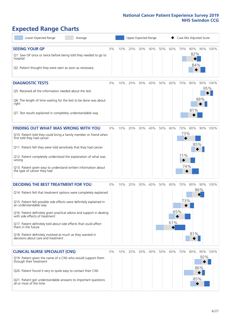# **Expected Range Charts**

| Lower Expected Range<br>Average                                                                                                                                                                                                                                                                                                                                                                                                                                                                                             |       |     | Upper Expected Range |     |     |     |            |                          | Case Mix Adjusted Score |            |          |
|-----------------------------------------------------------------------------------------------------------------------------------------------------------------------------------------------------------------------------------------------------------------------------------------------------------------------------------------------------------------------------------------------------------------------------------------------------------------------------------------------------------------------------|-------|-----|----------------------|-----|-----|-----|------------|--------------------------|-------------------------|------------|----------|
| <b>SEEING YOUR GP</b><br>Q1. Saw GP once or twice before being told they needed to go to<br>hospital<br>Q2. Patient thought they were seen as soon as necessary                                                                                                                                                                                                                                                                                                                                                             | 0%    | 10% | 20%                  | 30% | 40% | 50% | 60%        | 70%                      | 80%<br>82%<br>84%       |            | 90% 100% |
| <b>DIAGNOSTIC TESTS</b><br>Q5. Received all the information needed about the test<br>Q6. The length of time waiting for the test to be done was about<br>right<br>Q7. Test results explained in completely understandable way                                                                                                                                                                                                                                                                                               | $0\%$ | 10% | 20%                  | 30% | 40% | 50% | 60%        | 70%                      | 80%<br>81%              | 95%<br>88% | 90% 100% |
| <b>FINDING OUT WHAT WAS WRONG WITH YOU</b><br>Q10. Patient told they could bring a family member or friend when<br>first told they had cancer<br>Q11. Patient felt they were told sensitively that they had cancer<br>Q12. Patient completely understood the explanation of what was<br>wrong<br>Q13. Patient given easy to understand written information about<br>the type of cancer they had                                                                                                                             | $0\%$ | 10% | 20%                  | 30% | 40% | 50% | 60%        | 70%<br>73%<br>71%<br>74% | 80%<br>85%              |            | 90% 100% |
| <b>DECIDING THE BEST TREATMENT FOR YOU</b><br>Q14. Patient felt that treatment options were completely explained<br>Q15. Patient felt possible side effects were definitely explained in<br>an understandable way<br>Q16. Patient definitely given practical advice and support in dealing<br>with side effects of treatment<br>Q17. Patient definitely told about side effects that could affect<br>them in the future<br>Q18. Patient definitely involved as much as they wanted in<br>decisions about care and treatment | $0\%$ | 10% | 20%                  | 30% | 40% | 50% | 60%<br>61% | 70%<br>73%<br>65%        | 80%<br>86%<br>81%       |            | 90% 100% |
| <b>CLINICAL NURSE SPECIALIST (CNS)</b><br>Q19. Patient given the name of a CNS who would support them<br>through their treatment<br>Q20. Patient found it very or quite easy to contact their CNS<br>Q21. Patient got understandable answers to important questions<br>all or most of the time                                                                                                                                                                                                                              | $0\%$ | 10% | 20%                  | 30% | 40% | 50% | 60%        | 70%                      | 80%<br>86%<br>85%       | 92%        | 90% 100% |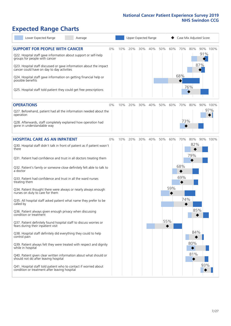# **Expected Range Charts**

| Lower Expected Range<br>Average                                                                                   |    |     |         |     | Upper Expected Range |     |     | Case Mix Adjusted Score |     |     |          |
|-------------------------------------------------------------------------------------------------------------------|----|-----|---------|-----|----------------------|-----|-----|-------------------------|-----|-----|----------|
| <b>SUPPORT FOR PEOPLE WITH CANCER</b>                                                                             | 0% | 10% | 20%     | 30% | 40%                  | 50% | 60% | 70%                     | 80% |     | 90% 100% |
| Q22. Hospital staff gave information about support or self-help<br>groups for people with cancer                  |    |     |         |     |                      |     |     |                         |     | 91% |          |
| Q23. Hospital staff discussed or gave information about the impact<br>cancer could have on day to day activities  |    |     |         |     |                      |     |     |                         |     | 87% |          |
| Q24. Hospital staff gave information on getting financial help or<br>possible benefits                            |    |     |         |     |                      |     |     | 68%                     |     |     |          |
| Q25. Hospital staff told patient they could get free prescriptions                                                |    |     |         |     |                      |     |     |                         | 76% |     |          |
| <b>OPERATIONS</b>                                                                                                 | 0% | 10% | 20%     | 30% | 40%                  | 50% | 60% | 70%                     | 80% |     | 90% 100% |
| Q27. Beforehand, patient had all the information needed about the<br>operation                                    |    |     |         |     |                      |     |     |                         |     |     | 97%      |
| Q28. Afterwards, staff completely explained how operation had<br>gone in understandable way                       |    |     |         |     |                      |     |     | 73%                     |     |     |          |
| <b>HOSPITAL CARE AS AN INPATIENT</b>                                                                              | 0% |     | 10% 20% | 30% | 40%                  | 50% | 60% | 70%                     | 80% |     | 90% 100% |
| Q30. Hospital staff didn't talk in front of patient as if patient wasn't<br>there                                 |    |     |         |     |                      |     |     |                         | 82% |     |          |
| Q31. Patient had confidence and trust in all doctors treating them                                                |    |     |         |     |                      |     |     |                         | 79% |     |          |
| Q32. Patient's family or someone close definitely felt able to talk to<br>a doctor                                |    |     |         |     |                      |     |     | 68%                     |     |     |          |
| Q33. Patient had confidence and trust in all the ward nurses<br>treating them                                     |    |     |         |     |                      |     |     | 69%                     |     |     |          |
| Q34. Patient thought there were always or nearly always enough<br>nurses on duty to care for them                 |    |     |         |     |                      |     | 59% |                         |     |     |          |
| Q35. All hospital staff asked patient what name they prefer to be<br>called by                                    |    |     |         |     |                      |     |     | 74%                     |     |     |          |
| Q36. Patient always given enough privacy when discussing<br>condition or treatment                                |    |     |         |     |                      |     |     |                         | 85% |     |          |
| Q37. Patient definitely found hospital staff to discuss worries or<br>fears during their inpatient visit          |    |     |         |     |                      |     | 55% |                         |     |     |          |
| Q38. Hospital staff definitely did everything they could to help<br>control pain                                  |    |     |         |     |                      |     |     |                         | 84% |     |          |
| Q39. Patient always felt they were treated with respect and dignity<br>while in hospital                          |    |     |         |     |                      |     |     |                         | 80% |     |          |
| Q40. Patient given clear written information about what should or<br>should not do after leaving hospital         |    |     |         |     |                      |     |     |                         | 81% |     |          |
| Q41. Hospital staff told patient who to contact if worried about<br>condition or treatment after leaving hospital |    |     |         |     |                      |     |     |                         |     | 93% |          |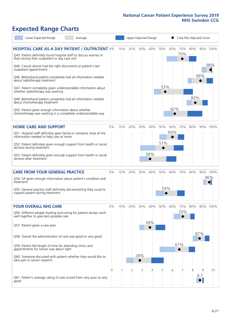# **Expected Range Charts**

| Lower Expected Range<br>Average                                                                                                                                                |    |     |     |     | Upper Expected Range |     |     | Case Mix Adjusted Score |     |     |          |
|--------------------------------------------------------------------------------------------------------------------------------------------------------------------------------|----|-----|-----|-----|----------------------|-----|-----|-------------------------|-----|-----|----------|
| <b>HOSPITAL CARE AS A DAY PATIENT / OUTPATIENT 0%</b><br>Q43. Patient definitely found hospital staff to discuss worries or<br>fears during their outpatient or day case visit |    | 10% | 20% | 30% | 40%                  | 50% | 60% | 70%<br>70%              | 80% |     | 90% 100% |
| Q44. Cancer doctor had the right documents at patient's last<br>outpatient appointment                                                                                         |    |     |     |     |                      |     |     |                         |     |     | 98%      |
| Q46. Beforehand patient completely had all information needed<br>about radiotherapy treatment                                                                                  |    |     |     |     |                      |     |     |                         |     | 88% |          |
| Q47. Patient completely given understandable information about<br>whether radiotherapy was working                                                                             |    |     |     |     |                      | 53% |     |                         |     |     |          |
| Q49. Beforehand patient completely had all information needed<br>about chemotherapy treatment                                                                                  |    |     |     |     |                      |     |     |                         | 83% |     |          |
| Q50. Patient given enough information about whether<br>chemotherapy was working in a completely understandable way                                                             |    |     |     |     |                      |     | 62% |                         |     |     |          |
| <b>HOME CARE AND SUPPORT</b>                                                                                                                                                   | 0% | 10% | 20% | 30% | 40%                  | 50% | 60% | 70%                     | 80% |     | 90% 100% |
| Q51. Hospital staff definitely gave family or someone close all the<br>information needed to help care at home                                                                 |    |     |     |     |                      |     | 60% |                         |     |     |          |
| Q52. Patient definitely given enough support from health or social<br>services during treatment                                                                                |    |     |     |     |                      | 51% |     |                         |     |     |          |
| Q53. Patient definitely given enough support from health or social<br>services after treatment                                                                                 |    |     |     |     | 38%                  |     |     |                         |     |     |          |
| <b>CARE FROM YOUR GENERAL PRACTICE</b>                                                                                                                                         | 0% | 10% | 20% | 30% | 40%                  | 50% | 60% | 70%                     | 80% |     | 90% 100% |
| Q54. GP given enough information about patient's condition and<br>treatment                                                                                                    |    |     |     |     |                      |     |     |                         |     |     | 96%      |
| Q55. General practice staff definitely did everything they could to<br>support patient during treatment                                                                        |    |     |     |     |                      | 54% |     |                         |     |     |          |
| <b>YOUR OVERALL NHS CARE</b>                                                                                                                                                   | 0% | 10% | 20% | 30% | 40%                  | 50% | 60% | 70%                     | 80% |     | 90% 100% |
| Q56. Different people treating and caring for patient always work<br>well together to give best possible care                                                                  |    |     |     |     |                      |     |     | 70%                     |     |     |          |
| Q57. Patient given a care plan                                                                                                                                                 |    |     |     |     | 38%                  |     |     |                         |     |     |          |
| Q58. Overall the administration of care was good or very good                                                                                                                  |    |     |     |     |                      |     |     |                         |     | 87% |          |
| Q59. Patient felt length of time for attending clinics and<br>appointments for cancer was about right                                                                          |    |     |     |     |                      |     |     | 67%                     |     |     |          |
| Q60. Someone discussed with patient whether they would like to<br>take part in cancer research                                                                                 |    |     |     | 28% |                      |     |     |                         |     |     |          |
|                                                                                                                                                                                | 0  |     | 2   | 3   | 4                    | 5   | 6   | 7                       | 8   | 9   | 10       |
| Q61. Patient's average rating of care scored from very poor to very<br>good                                                                                                    |    |     |     |     |                      |     |     |                         |     | 8.7 |          |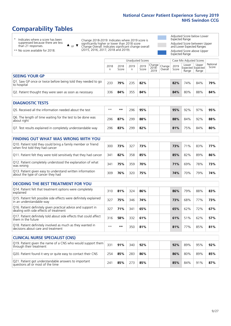# **Comparability Tables**

\* Indicates where a score has been suppressed because there are less than 21 responses.

\*\* No score available for 2018.

 $\triangle$  or  $\nabla$ 

Change 2018-2019: Indicates where 2019 score is significantly higher or lower than 2018 score Change Overall: Indicates significant change overall (2015, 2016, 2017, 2018 and 2019).

Adjusted Score below Lower Expected Range Adjusted Score between Upper and Lower Expected Ranges Adjusted Score above Upper

Expected Range

|                                                                             |           |               | Unadjusted Scores |               |                                                    |         |               | Case Mix Adjusted Scores            |                |                   |
|-----------------------------------------------------------------------------|-----------|---------------|-------------------|---------------|----------------------------------------------------|---------|---------------|-------------------------------------|----------------|-------------------|
|                                                                             | 2018<br>n | 2018<br>Score | 2019<br>n         | 2019<br>Score | $\sqrt{(\text{Change})^2}$ Change<br>2018-<br>2019 | Overall | 2019<br>Score | Lower<br>Expected Expected<br>Range | Upper<br>Range | National<br>Score |
| <b>SEEING YOUR GP</b>                                                       |           |               |                   |               |                                                    |         |               |                                     |                |                   |
| Q1. Saw GP once or twice before being told they needed to go<br>to hospital | 233       | 79%           | 235               | 82%           |                                                    |         | 82%           | 74%                                 | 84%            | 79%               |
| Q2. Patient thought they were seen as soon as necessary                     | 336       | 84%           | 355               | 84%           |                                                    |         | 84%           | 80%                                 | 88%            | 84%               |
| <b>DIAGNOSTIC TESTS</b>                                                     |           |               |                   |               |                                                    |         |               |                                     |                |                   |

| O5. Received all the information needed about the test                    | $**$ | **  | 296 | 95% |  | 95% | 92% | 97% | 95% |
|---------------------------------------------------------------------------|------|-----|-----|-----|--|-----|-----|-----|-----|
| Q6. The length of time waiting for the test to be done was<br>about right | 296  | 87% | 299 | 88% |  | 88% | 84% | 92% | 88% |
| Q7. Test results explained in completely understandable way               | 296  | 83% | 299 | 82% |  | 81% | 75% | 84% | 80% |

| <b>FINDING OUT WHAT WAS WRONG WITH YOU</b>                                                      |     |     |     |     |     |     |     |     |
|-------------------------------------------------------------------------------------------------|-----|-----|-----|-----|-----|-----|-----|-----|
| Q10. Patient told they could bring a family member or friend<br>when first told they had cancer | 300 | 73% | 327 | 73% | 73% | 71% | 83% | 77% |
| Q11. Patient felt they were told sensitively that they had cancer                               | 341 | 82% | 358 | 85% | 85% | 82% | 89% | 86% |
| Q12. Patient completely understood the explanation of what<br>was wrong                         | 341 | 75% | 359 | 70% | 71% | 69% | 78% | 73% |
| Q13. Patient given easy to understand written information<br>about the type of cancer they had  | 309 | 76% | 320 | 75% | 74% | 70% | 79% | 74% |

| <b>DECIDING THE BEST TREATMENT FOR YOU</b>                                                              |      |     |     |     |     |     |     |     |
|---------------------------------------------------------------------------------------------------------|------|-----|-----|-----|-----|-----|-----|-----|
| Q14. Patient felt that treatment options were completely<br>explained                                   | 310  | 81% | 324 | 86% | 86% | 79% | 88% | 83% |
| Q15. Patient felt possible side effects were definitely explained<br>in an understandable way           | 327  | 75% | 346 | 74% | 73% | 68% | 77% | 73% |
| Q16. Patient definitely given practical advice and support in<br>dealing with side effects of treatment | 327  | 71% | 341 | 65% | 65% | 62% | 72% | 67% |
| Q17. Patient definitely told about side effects that could affect<br>them in the future                 | 316  | 58% | 332 | 61% | 61% | 51% | 62% | 57% |
| Q18. Patient definitely involved as much as they wanted in<br>decisions about care and treatment        | $**$ | **  | 350 | 81% | 81% | 77% | 85% | 81% |

| <b>CLINICAL NURSE SPECIALIST (CNS)</b>                                                    |     |     |     |     |     |     |     |     |
|-------------------------------------------------------------------------------------------|-----|-----|-----|-----|-----|-----|-----|-----|
| Q19. Patient given the name of a CNS who would support them<br>through their treatment    | 331 | 91% | 340 | 92% | 92% | 89% | 95% | 92% |
| Q20. Patient found it very or quite easy to contact their CNS                             | 254 | 85% | 283 | 86% | 86% | 80% | 89% | 85% |
| Q21. Patient got understandable answers to important<br>questions all or most of the time | 741 | 85% | 273 | 85% | 85% | 84% | 91% | 87% |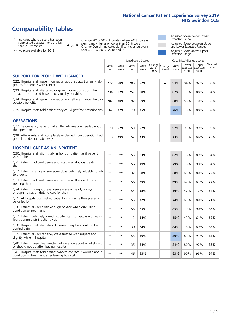# **Comparability Tables**

\* Indicates where a score has been suppressed because there are less than 21 responses.

\*\* No score available for 2018.

 $\triangle$  or  $\nabla$ 

Change 2018-2019: Indicates where 2019 score is significantly higher or lower than 2018 score Change Overall: Indicates significant change overall (2015, 2016, 2017, 2018 and 2019).

Adjusted Score below Lower Expected Range Adjusted Score between Upper and Lower Expected Ranges Adjusted Score above Upper Expected Range

|                                                                                                                   |              |               | <b>Unadjusted Scores</b> |               |                         |                   |               | Case Mix Adjusted Scores |                                     |                   |
|-------------------------------------------------------------------------------------------------------------------|--------------|---------------|--------------------------|---------------|-------------------------|-------------------|---------------|--------------------------|-------------------------------------|-------------------|
|                                                                                                                   | 2018<br>n    | 2018<br>Score | 2019<br>$\mathsf{n}$     | 2019<br>Score | Change<br>2018-<br>2019 | Change<br>Overall | 2019<br>Score | Lower<br>Range           | Upper<br>Expected Expected<br>Range | National<br>Score |
| <b>SUPPORT FOR PEOPLE WITH CANCER</b>                                                                             |              |               |                          |               |                         |                   |               |                          |                                     |                   |
| Q22. Hospital staff gave information about support or self-help<br>groups for people with cancer                  | 272          | 90%           | 285                      | 92%           |                         | ▲                 | 91%           | 84%                      | 92%                                 | 88%               |
| Q23. Hospital staff discussed or gave information about the<br>impact cancer could have on day to day activities  | 234          | 87%           | 257                      | 88%           |                         |                   | 87%           | 79%                      | 88%                                 | 84%               |
| Q24. Hospital staff gave information on getting financial help or<br>possible benefits                            | 207          | 70%           | 192                      | 69%           |                         |                   | 68%           | 56%                      | 70%                                 | 63%               |
| Q25. Hospital staff told patient they could get free prescriptions                                                | 167          | 77%           | 170                      | 75%           |                         |                   | 76%           | 76%                      | 88%                                 | 82%               |
| <b>OPERATIONS</b>                                                                                                 |              |               |                          |               |                         |                   |               |                          |                                     |                   |
| Q27. Beforehand, patient had all the information needed about<br>the operation                                    | 173          | 97%           | 153                      | 97%           |                         |                   | 97%           | 93%                      | 99%                                 | 96%               |
| Q28. Afterwards, staff completely explained how operation had<br>gone in understandable way                       | 173          | 79%           | 152                      | 73%           |                         |                   | 73%           | 73%                      | 86%                                 | 79%               |
| <b>HOSPITAL CARE AS AN INPATIENT</b>                                                                              |              |               |                          |               |                         |                   |               |                          |                                     |                   |
| Q30. Hospital staff didn't talk in front of patient as if patient<br>wasn't there                                 | $* *$        | $***$         | 155                      | 83%           |                         |                   | 82%           | 78%                      | 89%                                 | 84%               |
| Q31. Patient had confidence and trust in all doctors treating<br>them                                             | $* *$        | $***$         | 156                      | 79%           |                         |                   | 79%           | 78%                      | 90%                                 | 84%               |
| Q32. Patient's family or someone close definitely felt able to talk<br>to a doctor                                | $* *$        | $***$         | 132                      | 68%           |                         |                   | 68%           | 65%                      | 80%                                 | 72%               |
| Q33. Patient had confidence and trust in all the ward nurses<br>treating them                                     | $* *$        | $***$         | 156                      | 69%           |                         |                   | 69%           | 67%                      | 81%                                 | 74%               |
| Q34. Patient thought there were always or nearly always<br>enough nurses on duty to care for them                 | $* *$        | $***$         | 154                      | 58%           |                         |                   | 59%           | 57%                      | 72%                                 | 64%               |
| Q35. All hospital staff asked patient what name they prefer to<br>be called by                                    | $* *$        | $***$         | 155                      | 72%           |                         |                   | 74%           | 61%                      | 80%                                 | 71%               |
| Q36. Patient always given enough privacy when discussing<br>condition or treatment                                | $\star\star$ | $***$         | 155                      | 85%           |                         |                   | 85%           | 79%                      | 90%                                 | 85%               |
| Q37. Patient definitely found hospital staff to discuss worries or<br>fears during their inpatient visit          | $* *$        | $***$         | 112                      | 54%           |                         |                   | 55%           | 43%                      | 61%                                 | 52%               |
| Q38. Hospital staff definitely did everything they could to help<br>control pain                                  | $* *$        | $***$         | 130                      | 84%           |                         |                   | 84%           | 76%                      | 89%                                 | 83%               |
| Q39. Patient always felt they were treated with respect and<br>dignity while in hospital                          | $***$        | $***$         | 155                      | 80%           |                         |                   | 80%           | 83%                      | 93%                                 | 88%               |
| Q40. Patient given clear written information about what should<br>or should not do after leaving hospital         | $* *$        | $***$         | 135                      | 81%           |                         |                   | 81%           | 80%                      | 92%                                 | 86%               |
| Q41. Hospital staff told patient who to contact if worried about<br>condition or treatment after leaving hospital | $**$         | $***$         | 146                      | 93%           |                         |                   | 93%           | 90%                      | 98%                                 | 94%               |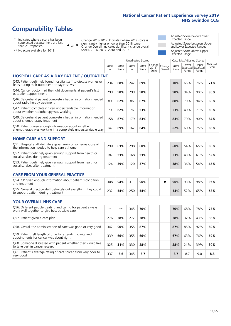# **Comparability Tables**

\* Indicates where a score has been suppressed because there are less than 21 responses.

\*\* No score available for 2018.

 $\triangle$  or  $\nabla$ 

Change 2018-2019: Indicates where 2019 score is significantly higher or lower than 2018 score Change Overall: Indicates significant change overall (2015, 2016, 2017, 2018 and 2019).

Adjusted Score below Lower Expected Range Adjusted Score between Upper and Lower Expected Ranges Adjusted Score above Upper Expected Range

|                                                                                                                       |                      |               |           | <b>Unadjusted Scores</b> |                         |                   |               | Case Mix Adjusted Scores |                                     |                   |
|-----------------------------------------------------------------------------------------------------------------------|----------------------|---------------|-----------|--------------------------|-------------------------|-------------------|---------------|--------------------------|-------------------------------------|-------------------|
|                                                                                                                       | 2018<br>$\mathsf{n}$ | 2018<br>Score | 2019<br>n | 2019<br>Score            | Change<br>2018-<br>2019 | Change<br>Overall | 2019<br>Score | Lower<br>Range           | Upper<br>Expected Expected<br>Range | National<br>Score |
| <b>HOSPITAL CARE AS A DAY PATIENT / OUTPATIENT</b>                                                                    |                      |               |           |                          |                         |                   |               |                          |                                     |                   |
| Q43. Patient definitely found hospital staff to discuss worries or<br>fears during their outpatient or day case visit | 234                  | 68%           | 242       | 69%                      |                         |                   | 70%           | 65%                      | 76%                                 | 71%               |
| Q44. Cancer doctor had the right documents at patient's last<br>outpatient appointment                                | 299                  | 98%           | 299       | 98%                      |                         |                   | 98%           | 94%                      | 98%                                 | 96%               |
| Q46. Beforehand patient completely had all information needed<br>about radiotherapy treatment                         | 89                   | 82%           | 86        | 87%                      |                         |                   | 88%           | 79%                      | 94%                                 | 86%               |
| Q47. Patient completely given understandable information<br>about whether radiotherapy was working                    | 79                   | 62%           | 76        | 53%                      |                         |                   | 53%           | 49%                      | 71%                                 | 60%               |
| Q49. Beforehand patient completely had all information needed<br>about chemotherapy treatment                         | 158                  | 87%           | 179       | 83%                      |                         |                   | 83%           | 79%                      | 90%                                 | 84%               |
| Q50. Patient given enough information about whether<br>chemotherapy was working in a completely understandable way    | 147                  | 69%           | 162       | 64%                      |                         |                   | 62%           | 60%                      | 75%                                 | 68%               |
| <b>HOME CARE AND SUPPORT</b>                                                                                          |                      |               |           |                          |                         |                   |               |                          |                                     |                   |
| Q51. Hospital staff definitely gave family or someone close all<br>the information needed to help care at home        | 290                  | 61%           | 298       | 60%                      |                         |                   | 60%           | 54%                      | 65%                                 | 60%               |
| Q52. Patient definitely given enough support from health or<br>social services during treatment                       | 187                  | 51%           | 168       | 51%                      |                         |                   | 51%           | 43%                      | 61%                                 | 52%               |
| Q53. Patient definitely given enough support from health or<br>social services after treatment                        | 124                  | 39%           | 120       | 37%                      |                         |                   | 38%           | 36%                      | 54%                                 | 45%               |
| <b>CARE FROM YOUR GENERAL PRACTICE</b>                                                                                |                      |               |           |                          |                         |                   |               |                          |                                     |                   |
| Q54. GP given enough information about patient's condition<br>and treatment                                           | 308                  | 94%           | 311       | 96%                      |                         | ▼                 | 96%           | 93%                      | 98%                                 | 95%               |
| Q55. General practice staff definitely did everything they could<br>to support patient during treatment               | 232                  | 54%           | 250       | 54%                      |                         |                   | 54%           | 52%                      | 65%                                 | 58%               |
| YOUR OVERALL NHS CARE                                                                                                 |                      |               |           |                          |                         |                   |               |                          |                                     |                   |
| Q56. Different people treating and caring for patient always<br>work well together to give best possible care         | $\star\star$         | $***$         | 345       | 70%                      |                         |                   | 70%           | 68%                      | 78%                                 | 73%               |
| Q57. Patient given a care plan                                                                                        | 276                  | 38%           | 272       | 38%                      |                         |                   | 38%           | 32%                      | 43%                                 | 38%               |
| Q58. Overall the administration of care was good or very good                                                         | 342                  | 90%           | 355       | 87%                      |                         |                   | 87%           | 85%                      | 92%                                 | 89%               |
| Q59. Patient felt length of time for attending clinics and<br>appointments for cancer was about right                 | 339                  | 66%           | 355       | 66%                      |                         |                   | 67%           | 63%                      | 76%                                 | 69%               |
| Q60. Someone discussed with patient whether they would like<br>to take part in cancer research                        | 325                  | 31%           | 330       | 28%                      |                         |                   | 28%           | 21%                      | 39%                                 | 30%               |
| Q61. Patient's average rating of care scored from very poor to<br>very good                                           | 337                  | 8.6           | 345       | 8.7                      |                         |                   | 8.7           | 8.7                      | 9.0                                 | 8.8               |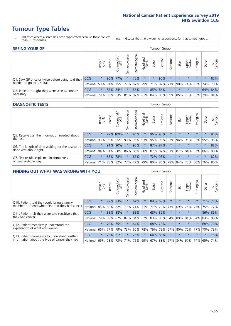- \* Indicates where a score has been suppressed because there are less than 21 responses.
- n.a. Indicates that there were no respondents for that tumour group.

| <b>SEEING YOUR GP</b>                           |            |              |               |             |                    |                |                  |         | Tumour Group |         |         |                 |                                                           |         |                |
|-------------------------------------------------|------------|--------------|---------------|-------------|--------------------|----------------|------------------|---------|--------------|---------|---------|-----------------|-----------------------------------------------------------|---------|----------------|
|                                                 |            | Brain<br>CNS | <b>Breast</b> | Colorectal  | ᠊ᢛ<br>Gynaecologic | Haematological | Head and<br>Neck | Lung    | Prostate     | Sarcoma | Skin    | Upper<br>Gastro | $\sigma$<br>Irologica                                     | Other   | All<br>Cancers |
| Q1. Saw GP once or twice before being told they | <b>CCG</b> | $\star$      |               | 96% 77%     |                    | 75%            | $\star$          | $\star$ | 90%          | $\star$ | $\star$ | $\star$         | $\star$                                                   | $\star$ | 82%            |
| needed to go to hospital                        | National   | 59%          |               | 94% 75% 77% |                    |                |                  |         |              |         |         |                 | 67%   79%   71%   82%   71%   90%   74%   83%   74%   79% |         |                |
| Q2. Patient thought they were seen as soon as   | <b>CCG</b> | $\star$      |               | 87% 84%     | $\star$            | 86%            | $\star$          |         | 85% 86%      | $\star$ | $\star$ | $\star$         |                                                           | 64% 84% |                |
| necessary                                       | National   | 79%          |               | 89% 83%     |                    |                |                  |         |              |         |         |                 | 81%   82%   81%   84%   86%   69%   85%   79%   85%   79% |         | 84%            |

#### **DIAGNOSTIC TESTS** Tumour Group

|                                                   |                                          | Brain<br>CNS | <b>Breast</b> | Colorectal<br>LGT | ᠊ᢛ<br>Gynaecologic | Haematological | Head and<br>Neck | Lung        | Prostate | Sarcoma | Skin    | Upper<br>Gastro | rological                                   | Other   | All<br>Cancers |
|---------------------------------------------------|------------------------------------------|--------------|---------------|-------------------|--------------------|----------------|------------------|-------------|----------|---------|---------|-----------------|---------------------------------------------|---------|----------------|
| Q5. Received all the information needed about     | <b>CCG</b>                               | $\star$      |               | 97% 100%          |                    | 96%            | $\star$          |             | 96% 90%  |         | $\star$ | $\star$         | $\star$                                     | $\star$ | 95%            |
| $\vert$ the test                                  | National                                 | 93%          |               | 95% 95%           |                    | 93% 95%        |                  | 93% 95% 95% |          | 93%     | 96%     |                 | 95% 95%                                     | 95%     | 95%            |
| Q6. The length of time waiting for the test to be | <b>CCG</b>                               | $\star$      | 91%           | 90%               | $\star$            | 95%            | $\star$          |             | 87% 87%  |         | $\star$ | $\star$         | $\star$                                     | $\star$ | 88%            |
| done was about right                              | National                                 |              |               | 84% 91% 88%       |                    |                |                  |             |          |         |         |                 | 86% 89% 88% 87% 87% 81% 87% 84% 87% 86% 88% |         |                |
| Q7. Test results explained in completely          | CCG                                      | $\star$      | 83%           | 78%               | $\star$            | 86%            | $\star$          | 72%         | 93%      |         | $\star$ | $\star$         | $\star$                                     | $\star$ | 82%            |
| understandable way                                | National 71% 83% 82% 77% 77% 79% 80% 80% |              |               |                   |                    |                |                  |             |          |         |         |                 | 78% 84% 75% 80% 76% 80%                     |         |                |

| <b>FINDING OUT WHAT WAS WRONG WITH YOU</b>        |          |         |               |                       |                |                   |                        |         | <b>Tumour Group</b> |         |         |                 |           |         |                |
|---------------------------------------------------|----------|---------|---------------|-----------------------|----------------|-------------------|------------------------|---------|---------------------|---------|---------|-----------------|-----------|---------|----------------|
|                                                   |          | Brain   | <b>Breast</b> | olorectal<br>LGT<br>Û | Gynaecological | aematologica<br>ェ | ad and<br>Neck<br>Head | Lung    | Prostate            | Sarcoma | Skin    | Upper<br>Gastro | rological | Other   | All<br>Cancers |
| Q10. Patient told they could bring a family       | CCG      | $\star$ | 77%           | 73%                   | $\star$        | 67%               | $\star$                | 88%     | 69%                 | $\star$ | $\star$ | $\star$         | $\star$   | 71% 73% |                |
| member or friend when first told they had cancer  | National | 85%     | 82%           | 82%                   | 71%            | 71%               | 71%                    | 77%     | 79%                 | 73%     | 69%     | 76%             | 73%       | 75%     | 77%            |
| Q11. Patient felt they were told sensitively that | CCG      | $\star$ | 88% 88%       |                       |                | 88%               | $\star$                | 68% 89% |                     | $\star$ | $\star$ | $\star$         |           |         | 86% 85%        |
| they had cancer                                   | National | 79%     |               | 89% 87% 82%           |                |                   | 84% 87%                |         | 83% 86%             | 84%     |         | 89% 81% 84%     |           | 83%     | 86%            |
| Q12. Patient completely understood the            | CCG      | $\star$ | 72%           | 75%                   |                | 64%               | $\star$                | 68%     | 78%                 | $\star$ |         | $\star$         |           | 68%     | 70%            |
| explanation of what was wrong                     | National | 66%     | 77%           | 79%                   | 73%            | 60%               | 78%                    | 76%     | 79%                 | 67%     | 80%     | 70%             | 77%       | 70%     | 73%            |
| Q13. Patient given easy to understand written     | CCG      | $\star$ |               | 78% 61%               |                | 75%               | $\star$                | 64% 88% |                     | $\star$ | $\star$ | $\star$         | $\star$   | $\ast$  | 75%            |
| information about the type of cancer they had     | National | 66%     | 78%           | 73%                   | 71%            | 76%               | 69%                    | 67% 83% |                     | 67%     | 84%     | 67%             | 74%       | 65%     | 74%            |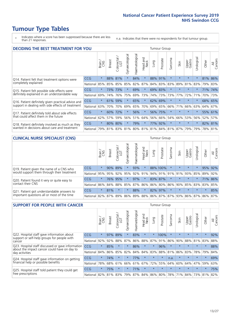- \* Indicates where a score has been suppressed because there are less than 21 responses.
- n.a. Indicates that there were no respondents for that tumour group.

| <b>DECIDING THE BEST TREATMENT FOR YOU</b>         |            |         |        |                        |                |                |                  |      | <b>Tumour Group</b> |                                     |         |                 |            |         |                |
|----------------------------------------------------|------------|---------|--------|------------------------|----------------|----------------|------------------|------|---------------------|-------------------------------------|---------|-----------------|------------|---------|----------------|
|                                                    |            | Brain   | Breast | blorectal.<br>LGT<br>Ũ | Gynaecological | Haematological | Head and<br>Neck | Lung | Prostate            | Sarcoma                             | Skin    | Upper<br>Gastro | Jrological | Other   | All<br>Cancers |
| Q14. Patient felt that treatment options were      | CCG        | $\star$ | 88%    | 81%                    | $\star$        | 84%            | $\star$          | 88%  | 91%                 | $\star$                             | $\star$ | $\star$         | $\star$    | 81%     | 86%            |
| completely explained                               | National   | 85%     | 85%    | 85%                    | 85%            | 82%            | 87%              |      | 84% 83%             | 83%                                 | 89%     | 81%             | 83%        |         | 79% 83%        |
| Q15. Patient felt possible side effects were       | <b>CCG</b> | $\star$ | 73%    | 73%                    | $\star$        | 69%            | $\star$          |      | 69% 83%             | $\star$                             |         | $\star$         | $\star$    | 71%     | 174%           |
| definitely explained in an understandable way      | National   | 69%     | 74%    | 76%                    | 75%            | 69%            | 73%              |      | 74% 73%             | 73%                                 | 77%     | 72%             | 71%        | 70%     | 73%            |
| Q16. Patient definitely given practical advice and | <b>CCG</b> | $\star$ | 61%    | 59%                    | $\star$        | 65%            | $\star$          |      | 62% 69%             | $\star$                             | $\star$ | $\star$         | $\star$    |         | 68% 65%        |
| support in dealing with side effects of treatment  | National   | 63%     | 70%    | 70%                    | 69%            | 65%            | 70%              |      | 69% 65%             | 66%                                 | 71%     | 66%             | 63%        | 64% 67% |                |
| Q17. Patient definitely told about side effects    | CCG        | $\star$ | 60%    | 72%                    |                | 56%            | $\star$          |      | 56% 75%             | $\star$                             | $\star$ | $\star$         |            |         | 55% 61%        |
| that could affect them in the future               | National   | 62%     | 57%    | 59%                    | 56%            | 51%            | 64%              | 56%  | 66%                 | 54%                                 | 66%     | 53%             | 56%        | 52%     | 57%            |
| Q18. Patient definitely involved as much as they   | <b>CCG</b> | $\star$ | 80%    | 80%                    | $\star$        | 79%            | $\star$          | 77%  | 92%                 | $^\star$                            | $\star$ | $\star$         | $^\star$   |         | 82% 81%        |
| wanted in decisions about care and treatment       | National   | 79%     |        |                        |                |                |                  |      |                     | 81% 83% 81% 80% 81% 81% 84% 81% 87% |         | 79%             | 79%        | 78% 81% |                |

#### **CLINICAL NURSE SPECIALIST (CNS)** Tumour Group

|                                             |          | Brain           | <b>Breast</b>   | Colorectal<br>LGT | Gynaecologica | శా<br>aematologi | Head and<br>Neck | Lung    | Prostate | Sarcoma | Skin    | Upper<br>Gastro                               | rological | Other  | All<br>Cancers |
|---------------------------------------------|----------|-----------------|-----------------|-------------------|---------------|------------------|------------------|---------|----------|---------|---------|-----------------------------------------------|-----------|--------|----------------|
| Q19. Patient given the name of a CNS who    | CCG      | $\star$         |                 | 90% 89%           |               | 93%              | $\star$          |         | 88% 100% | $\star$ | $\star$ | $\star$                                       |           |        | 95% 92%        |
| would support them through their treatment  | National | 95%             | 95%             | 92%               | 95%           | 92%              | 91%              |         | 94% 91%  | 91%     | 91%     | 93%                                           | 85%       | 89%    | 92%            |
| Q20. Patient found it very or quite easy to | CCG      | $\star$         |                 | 76% 95%           |               | 97%              | $\star$          |         | 83% 87%  |         | $\star$ | $\star$                                       |           |        | 71% 86%        |
| contact their CNS                           | National |                 | 86% 84% 88% 85% |                   |               | 87%              | 86%              | 86% 80% |          |         |         | 86% 90% 85%                                   | 83%       | 83%    | 85%            |
| Q21. Patient got understandable answers to  | CCG      | $\star$         | 81%             | $\star$           |               | 88%              | $\star$          |         | 82% 97%  | $\star$ | $\star$ | $\star$                                       | $\star$   | $\ast$ | 85%            |
| important questions all or most of the time | National | 82% 87% 89% 86% |                 |                   |               |                  |                  |         |          |         |         | 89%   88%   86%   87%   87%   93%   86%   87% |           | 86%    | 87%            |

| <b>SUPPORT FOR PEOPLE WITH CANCER</b>                                                             |            |         |               |            |                |                |                     |         | Tumour Group |                  |         |                 |           |         |                |
|---------------------------------------------------------------------------------------------------|------------|---------|---------------|------------|----------------|----------------|---------------------|---------|--------------|------------------|---------|-----------------|-----------|---------|----------------|
|                                                                                                   |            | Brain   | <b>Breast</b> | Colorectal | Gynaecological | Haematological | and<br>Neck<br>Head | Lung    | Prostate     | arcoma<br>$\sim$ | Skin    | Upper<br>Gastro | Urologica | Other   | All<br>Cancers |
| Q22. Hospital staff gave information about<br>support or self-help groups for people with         | <b>CCG</b> | $\star$ | 97%           | 89%        | $\star$        | 83%            | $\star$             | $\star$ | 100%         | $\star$          | $\star$ | $\star$         | $\star$   | $\star$ | 92%            |
| cancer                                                                                            | National   | 92%     | 92%           | 88%        | 87%            | 86%            | 88%                 | 87%     | 91%          | 86%              | 90%     | 88%             | 81%       | 83%     | 88%            |
| Q23. Hospital staff discussed or gave information<br>about the impact cancer could have on day to | CCG        | $\star$ | 85%           | $\star$    | $\star$        | 86%            | $\star$             | $\star$ | 96%          | $\star$          | $\star$ | $\star$         | $\star$   | $\star$ | 88%            |
| day activities                                                                                    | National   | 84%     | 86%           | 85%        | 82%            | 84%            | 84%                 | 83%     | 88%          | 81%              | 86%     | 83%             | 78%       | 79%     | 84%            |
| Q24. Hospital staff gave information on getting                                                   | <b>CCG</b> | $\star$ | 74%           | $\star$    | $\star$        | 77%            | $\star$             | $\star$ | $\star$      | n.a.             | $\star$ | $\star$         | $\star$   | $\star$ | 69%            |
| financial help or possible benefits                                                               | National   | 78%     | 68%           | 61%        | 66%            | 61%            | 67%                 | 72%     | 55%          | 64%              | 60%     | 64%             | 47%       | 59%     | 63%            |
| Q25. Hospital staff told patient they could get                                                   | <b>CCG</b> | $\star$ | 75%           | $\star$    | $\star$        | 71%            | $\star$             | $\star$ | $\star$      | $\star$          | $\star$ | $\star$         | $\star$   | $\star$ | 75%            |
| free prescriptions                                                                                | National   | 82%     | 81%           | 83%        | 79%            | 87%            | 84%                 | 86%     | 80%          | 78%              | 71%     | 84%             | 73%       | 81%     | 82%            |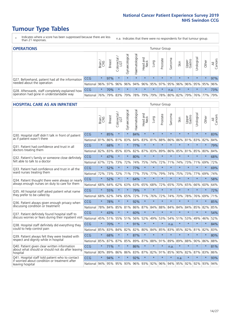- \* Indicates where a score has been suppressed because there are less than 21 responses.
- n.a. Indicates that there were no respondents for that tumour group.

| <b>OPERATIONS</b>                                |                      |              |               |            |                                     |                |                  |         | Tumour Group                |         |         |                 |                       |         |                |
|--------------------------------------------------|----------------------|--------------|---------------|------------|-------------------------------------|----------------|------------------|---------|-----------------------------|---------|---------|-----------------|-----------------------|---------|----------------|
|                                                  |                      | Brain<br>CNS | <b>Breast</b> | Colorectal | $\overline{\sigma}$<br>Gynaecologic | Haematological | Head and<br>Neck | Lung    | Prostate                    | Sarcoma | Skin    | Upper<br>Gastro | $\sigma$<br>Jrologica | Other   | All<br>Cancers |
| Q27. Beforehand, patient had all the information | <b>CCG</b>           | $\star$      | 97%           | $\star$    | $\star$                             | $\star$        | $\star$          | $\star$ | $\star$                     | $\star$ | $\star$ | $\star$         | $\star$               | $\star$ | 97%            |
| needed about the operation                       | National 96% 97% 96% |              |               |            |                                     |                |                  |         | 96% 94% 96% 95% 97% 95% 96% |         |         |                 | 96% 95% 95% 96%       |         |                |
| Q28. Afterwards, staff completely explained how  | <b>CCG</b>           | $\star$      | 70%           | $\star$    | $\star$                             | $\star$        | $\star$          | $\star$ | $\star$                     | n.a.    | $\star$ | $\star$         | $\star$               | $\star$ | 73%            |
| operation had gone in understandable way         | National             | 76%          |               | 79% 83%    |                                     | 79% 78% 79%    |                  |         | 79% 78% 80% 82% 79%         |         |         |                 |                       | 76% 77% | 79%            |

#### **HOSPITAL CARE AS AN INPATIENT** Tumour Group

|                                                                                                  |              | Brain   | Breast | Colorectal /<br>LGT | Gynaecological | Haematological | Head and<br>Neck | Lung                            | Prostate | Sarcoma | Skin    | Upper<br>Gastro | Urological          | Other   | All<br>Cancers |
|--------------------------------------------------------------------------------------------------|--------------|---------|--------|---------------------|----------------|----------------|------------------|---------------------------------|----------|---------|---------|-----------------|---------------------|---------|----------------|
| Q30. Hospital staff didn't talk in front of patient                                              | CCG          | $\star$ | 85%    | $\star$             | $\star$        | 84%            | $\star$          | $\star$                         | $\star$  | $\star$ | $\star$ | $\star$         | $\star$             | $\star$ | 83%            |
| as if patient wasn't there                                                                       | National     | 81%     | 86%    | 81%                 | 83%            | 84%            | 83%              | 81%                             | 88%      | 86%     | 86%     | 81%             | 83%                 | 82%     | 84%            |
| O31. Patient had confidence and trust in all                                                     | CCG          | $\star$ | 68%    | $\star$             | $\star$        | 77%            | $\star$          | $\star$                         | $\star$  | $\star$ | $\star$ |                 | $\star$             | $\star$ | 79%            |
| doctors treating them                                                                            | National     | 82%     | 83%    | 85%                 | 83%            | 82%            |                  | 87% 83%                         | 89%      | 86%     | 85%     |                 | 81% 85%             | 80%     | 84%            |
| Q32. Patient's family or someone close definitely                                                | CCG          | $\star$ | 47%    | $\star$             | $\star$        | 80%            | $\star$          | $\star$                         | $\star$  | $\star$ | $\star$ | $\star$         | $\star$             | $\star$ | 68%            |
| felt able to talk to a doctor                                                                    | National     | 67%     | 72%    | 73%                 | 72%            | 74%            | 75%              | 74%                             | 72%      | 71%     | 74%     | 73%             | 71%                 | 69%     | 72%            |
| O33. Patient had confidence and trust in all the                                                 | CCG          | $\star$ | 52%    | $\star$             | $\star$        | 77%            | $\star$          | $\star$                         | $\star$  | $\star$ | $\star$ | $\star$         | $\star$             | $\star$ | 69%            |
| ward nurses treating them                                                                        | National 72% |         | 73%    | 72%                 | 71%            | 77%            |                  | 75% 77%                         | 79%      | 74%     | 75%     |                 | 73% 77%             | 69%     | 74%            |
| Q34. Patient thought there were always or nearly                                                 | CCG          | $\star$ | 52%    | $\star$             | $\star$        | 64%            | $\star$          | $\star$                         | $\star$  | $\star$ | $\star$ |                 | $\star$             | $\star$ | 58%            |
| always enough nurses on duty to care for them                                                    | National     | 68%     | 64%    | 62%                 | 63%            | 63%            |                  | 65% 68%                         | 72%      | 65%     | 70%     | 65%             | 66%                 | 60%     | 64%            |
| Q35. All hospital staff asked patient what name                                                  | CCG          | $\star$ | 55%    | $\star$             | $\star$        | 79%            | $\star$          | $\star$                         | $\star$  | $\star$ | $\star$ | $\star$         | $\star$             | $\star$ | 72%            |
| they prefer to be called by                                                                      | National     | 68%     | 62%    | 74%                 | 65%            | 72%            |                  | 71% 76%                         | 72%      | 74%     | 70%     | 78%             | 76%                 | 69%     | 71%            |
| Q36. Patient always given enough privacy when                                                    | CCG          | $\star$ | 78%    | $\star$             |                | 92%            | $\star$          | $\star$                         | $\star$  | $\star$ | $\star$ | $\star$         | $\star$             | $\star$ | 85%            |
| discussing condition or treatment                                                                | National     | 78%     | 84%    | 85%                 | 81%            | 86%            |                  | 87% 84%                         | 88%      | 84%     | 84%     | 84%             | 85%                 | 82%     | 85%            |
| Q37. Patient definitely found hospital staff to                                                  | CCG          | $\star$ | 43%    | $\star$             | $\star$        | 60%            | $\star$          | $\star$                         | $\star$  | $\star$ | $\star$ | $\star$         | $\star$             | $\star$ | 54%            |
| discuss worries or fears during their inpatient visit                                            | National 45% |         | 51%    |                     | 55% 51%        | 56%            |                  | 52% 49%                         | 53%      | 54%     | 51%     | 53%             | 49%                 | 46%     | 52%            |
| Q38. Hospital staff definitely did everything they                                               | CCG          | $\star$ | 70%    | $\star$             | $\star$        | 91%            | $\star$          | $\star$                         | $\star$  | n.a.    | $\star$ | $\star$         | $\star$             | $\star$ | 84%            |
| could to help control pain                                                                       | National     | 85%     | 83%    | 84%                 | 82%            | 82%            | 80%              | 84%                             | 85%      | 83%     | 85% 82% |                 | 81%                 | 82%     | 83%            |
| Q39. Patient always felt they were treated with                                                  | CCG          | $\star$ | 68%    | $\star$             | $\star$        | 87%            | $\star$          | $\star$                         | $\star$  | $\star$ | $\star$ | $\star$         | $\star$             | $\star$ | 80%            |
| respect and dignity while in hospital                                                            | National     | 85%     | 87%    | 87%                 | 85%            | 89%            | 87%              | 88%                             | 91%      | 89%     | 89%     | 88%             | 90%                 | 86%     | 88%            |
| Q40. Patient given clear written information<br>about what should or should not do after leaving | CCG          | $\star$ | 71%    | $\star$             |                | 86%            | $\star$          | $\star$                         | $\star$  | n.a.    | $\star$ |                 | $\star$             | $\star$ | 81%            |
| hospital                                                                                         | National 80% |         | 89%    | 86% 86%             |                | 83%            |                  | 87% 82%                         | 91%      | 85%     | 90%     | 82%             | 87%                 | 83%     | 86%            |
| Q41. Hospital staff told patient who to contact<br>if worried about condition or treatment after | CCG          | $\star$ | 94%    | $\star$             | $\star$        | 92%            | $\star$          | $\star$                         | $\star$  | $\star$ | n.a.    | $\star$         | $\star$             | $\star$ | 93%            |
| leaving hospital                                                                                 | National 94% |         |        |                     |                |                |                  | 95% 95% 93% 96% 93% 92% 96% 94% |          |         |         |                 | 95% 92% 92% 93% 94% |         |                |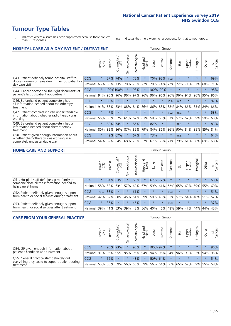- \* Indicates where a score has been suppressed because there are less than 21 responses.
- n.a. Indicates that there were no respondents for that tumour group.

| <b>HOSPITAL CARE AS A DAY PATIENT / OUTPATIENT</b>                                                                       |            |         |               |                       |                |                |                        |         |          | <b>Tumour Group</b> |         |                 |            |         |                |  |  |  |  |  |  |  |
|--------------------------------------------------------------------------------------------------------------------------|------------|---------|---------------|-----------------------|----------------|----------------|------------------------|---------|----------|---------------------|---------|-----------------|------------|---------|----------------|--|--|--|--|--|--|--|
|                                                                                                                          |            | Brain   | <b>Breast</b> | olorectal<br>LGT<br>Û | Gynaecological | Haematological | ad and<br>Neck<br>Head | Lung    | Prostate | Sarcoma             | Skin    | Upper<br>Gastro | Urological | Other   | All<br>Cancers |  |  |  |  |  |  |  |
| Q43. Patient definitely found hospital staff to<br>discuss worries or fears during their outpatient or<br>day case visit | <b>CCG</b> | $\star$ | 57%           | 74%                   | $\star$        | 75%            | $\star$                | 70%     | 95%      | n.a.                | $\star$ | $\star$         | $\star$    | $\star$ | 69%            |  |  |  |  |  |  |  |
|                                                                                                                          | National   | 66%     | 68%           | 73%                   | 70%            | 73%            | 72%                    | 70%     | 74%      | 72%                 | 72%     | 71%             | 67%        | 68%     | 71%            |  |  |  |  |  |  |  |
| Q44. Cancer doctor had the right documents at<br>patient's last outpatient appointment                                   | CCG        | $\star$ |               | 100%100%              |                | 93%            | $\star$                |         | 100%100% | $\star$             |         |                 | $\star$    | $\star$ | 98%            |  |  |  |  |  |  |  |
|                                                                                                                          | National   | 94%     | 96%           | 96%                   | 96%            | 97%            | 96%                    | $96\%$  | 96%      | 96%                 | 96%     | 94%             | 96%        | 95%     | 96%            |  |  |  |  |  |  |  |
| Q46. Beforehand patient completely had                                                                                   | <b>CCG</b> | $\star$ | 88%           | $\star$               | $\star$        |                | $\star$                | $\star$ | $\star$  | n.a.                | n.a.    | $\star$         | $\star$    | $\ast$  | 87%            |  |  |  |  |  |  |  |
| all information needed about radiotherapy<br>treatment                                                                   | National   | 91%     | 88%           | 83%                   | 88%            | 84%            | 86%                    | 86%     | 88%      | 88%                 | 84%     | 86%             | 83%        | 84%     | 86%            |  |  |  |  |  |  |  |
| Q47. Patient completely given understandable                                                                             | CCG        | $\star$ | 47%           | $\star$               |                |                | $\star$                | $\star$ | $\star$  | n.a.                | n.a.    | $\star$         |            | $\star$ | 53%            |  |  |  |  |  |  |  |
| information about whether radiotherapy was<br>working                                                                    | National   | 56%     | 60%           | 57%                   | 61%            | 62%            | 63%                    | 59%     | 60%      | 67%                 | 57%     | 52%             | 59%        | 59%     | 60%            |  |  |  |  |  |  |  |
| Q49. Beforehand patient completely had all                                                                               | <b>CCG</b> | $\star$ | 80%           | 74%                   | $\star$        | 86%            | $\star$                | 82%     | $\star$  | $\star$             | n.a.    |                 | $\star$    | $\star$ | 83%            |  |  |  |  |  |  |  |
| information needed about chemotherapy<br>treatment                                                                       | National   | 80%     | 82%           | 86%                   | 87%            | 85%            | 79%                    | 84%     | 86%      | 86%                 | 90%     | 84%             | 85%        | 85%     | 84%            |  |  |  |  |  |  |  |
| Q50. Patient given enough information about<br>whether chemotherapy was working in a<br>completely understandable way    | <b>CCG</b> | $\star$ | 42%           | 67%                   |                | 67%            | $\star$                | 73%     | $\star$  | $\star$             | n.a.    | $\star$         | $\star$    | $\ast$  | 64%            |  |  |  |  |  |  |  |
|                                                                                                                          | National   | 54%     | 62%           | 64%                   | 68%            | 75%            |                        | 57% 67% | 66%      | 71%                 | 79%     | 61%             | 68%        | 69%     | 68%            |  |  |  |  |  |  |  |

#### **HOME CARE AND SUPPORT** Tumour Group

|                                                                                                                   |            | Brain   | <b>Breast</b> | Colorectal | $\overline{\sigma}$<br>Gynaecologic | Haematological | ad and<br>Neck<br>Head | <b>Lung</b> | Prostate | Sarcoma | Skin    | Upper<br>Gastro | rological | Other   | All<br>Cancers |
|-------------------------------------------------------------------------------------------------------------------|------------|---------|---------------|------------|-------------------------------------|----------------|------------------------|-------------|----------|---------|---------|-----------------|-----------|---------|----------------|
| Q51. Hospital staff definitely gave family or<br>someone close all the information needed to<br>help care at home | <b>CCG</b> | $\star$ |               | 54% 63%    | $\star$                             | 65%            | $\star$                | 67%         | 72%      |         | $\star$ | $\star$         | $\star$   | $\star$ | 60%            |
|                                                                                                                   | National   | 58%     | 58%           | 63%        | 57%                                 | 62%            | 67%                    | 59%         | 61%      |         | 62% 65% | 60%             | 59% 55%   |         | 60%            |
| Q52. Patient definitely given enough support<br>from health or social services during treatment                   | <b>CCG</b> | n.a.    | 38%           | $\star$    | $\star$                             | 61%            | $\star$                | $\star$     | $\star$  | n.a.    | $\star$ | $\star$         | $\star$   | $\star$ | 51%            |
|                                                                                                                   | National   | 42%     | 52%           | 60%        |                                     | 45% 51%        | 59%                    | 50%         | 48%      |         | 53% 57% | 54%             | 48% 51%   |         | 52%            |
| Q53. Patient definitely given enough support<br>from health or social services after treatment                    | CCG        | $\star$ | 36%           |            | $\star$                             | 46%            | $\star$                | $\star$     | $\star$  | n.a.    |         | $\star$         | $\star$   | $\star$ | 37%            |
|                                                                                                                   | National   | 39%     |               | 41% 53%    | 39%                                 | 43%            | 56%                    | 40%         | 46%      | 48% 59% |         | 47%             | 44%       | 44%     | 45%            |

| <b>CARE FROM YOUR GENERAL PRACTICE</b>                                                                     | <b>Tumour Group</b> |         |               |                        |               |                |                  |                                         |          |         |         |                 |                |         |                |
|------------------------------------------------------------------------------------------------------------|---------------------|---------|---------------|------------------------|---------------|----------------|------------------|-----------------------------------------|----------|---------|---------|-----------------|----------------|---------|----------------|
|                                                                                                            |                     | Brain,  | <b>Breast</b> | ー<br>Colorectal<br>LGT | Gynaecologica | Haematological | Head and<br>Neck | Lung                                    | Prostate | Sarcoma | Skin    | Upper<br>Gastro | Φ<br>Urologica | Other   | All<br>Cancers |
| Q54. GP given enough information about<br>patient's condition and treatment                                | CCG                 | $\star$ |               | 95% 93%                |               | 95%            | $\star$          | 100% 97%                                |          | $\star$ | $\star$ | $\star$         | $\star$        | $\star$ | 96%            |
|                                                                                                            | National 91%        |         |               | 96% 95%                | 95%           |                |                  | 96% 94% 94% 96% 94% 96% 93% 95% 94%     |          |         |         |                 |                |         | 95%            |
| Q55. General practice staff definitely did<br>everything they could to support patient during<br>treatment | <b>CCG</b>          | $\star$ | 56%           | $\star$                |               | 48%            | $\star$          |                                         | 50% 64%  |         | $\star$ | $\star$         | $\star$        | $\star$ | 54%            |
|                                                                                                            | National 55%        |         |               | 58% 59%                | 56%           |                |                  | 56% 59% 56% 64% 56% 65% 59% 59% 55% 58% |          |         |         |                 |                |         |                |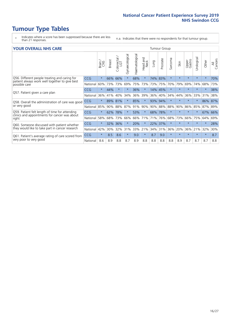- \* Indicates where a score has been suppressed because there are less than 21 responses.
- n.a. Indicates that there were no respondents for that tumour group.

#### **YOUR OVERALL NHS CARE** THE TWO CONTROLLER THE THE THROUP CHANGE THE TUMOUR GROUP

| UN V V LIVALL IVI 19 GAINL |              |               |                             |                |                |                         |            |          |                                      |         |                 |               |          |                |  |  |  |  |  |
|----------------------------|--------------|---------------|-----------------------------|----------------|----------------|-------------------------|------------|----------|--------------------------------------|---------|-----------------|---------------|----------|----------------|--|--|--|--|--|
|                            | Brain<br>CNS | <b>Breast</b> | colorectal<br>LGT<br>$\cup$ | Gynaecological | Haematological | aad and<br>Neck<br>Head | Lung       | Prostate | arcoma<br>$\sqrt{ }$                 | Skin    | Upper<br>Gastro | ී<br>Urologia | Other    | All<br>Cancers |  |  |  |  |  |
| <b>CCG</b>                 | $\star$      | 66%           | 66%                         |                | 68%            | $\ast$                  | 74%        | 83%      | $\star$                              | $\star$ | $\star$         | $\star$       | $\ast$   | 70%            |  |  |  |  |  |
| National                   | 60%          | 73%           | 73%                         | 69%            | 75%            | 73%                     | 73%        | 75%      | 70%                                  | 79%     | 69%             | 74%           | 68%      | 73%            |  |  |  |  |  |
| <b>CCG</b>                 | $\star$      | 44%           | $\star$                     |                | 36%            | $\ast$                  |            |          | $\star$                              | $\star$ | $\star$         | $\star$       | $\star$  | 38%            |  |  |  |  |  |
| National                   | 36%          | 41%           | 40%                         | 34%            | 36%            | 39%                     | 36%        | 40%      | 34%                                  | 44%     | 36%             | 33%           | 31%      | 38%            |  |  |  |  |  |
| <b>CCG</b>                 | $\star$      | 89%           | 81%                         |                | 85%            | $\ast$                  |            | 94%      | $\star$                              | $\star$ |                 |               | 86%      | 87%            |  |  |  |  |  |
| National                   | 85%          | 90%           | 88%                         | 87%            |                | 90%                     |            |          | 88%                                  | 90%     | 86%             | 85%           | 87%      | 89%            |  |  |  |  |  |
| <b>CCG</b>                 | $\star$      | 62%           | 78%                         |                | 53%            | $\star$                 |            |          | $\star$                              | $\star$ | $\star$         | $\star$       | 67%      | 66%            |  |  |  |  |  |
| National                   | 58%          | 68%           | 73%                         | 66%            | 66%            | 71%                     | 71%        | 76%      | 68%                                  | 73%     | 66%             | 75%           | 64%      | 69%            |  |  |  |  |  |
| <b>CCG</b>                 | $\star$      | 32%           | 36%                         |                | 20%            | $\ast$                  | 22%        | 37%      | $\star$                              | $\star$ |                 |               | $^\star$ | 28%            |  |  |  |  |  |
| National                   | 42%          | 30%           | 32%                         | 31%            | 33%            |                         | 34%        | 31%      | 36%                                  | 20%     | 36%             | 21%           | 32%      | 30%            |  |  |  |  |  |
| <b>CCG</b>                 | $\star$      | 8.5           | 8.6                         | $\star$        | 9.0            | $\ast$                  | 8.7        | 9.0      | $\star$                              | $\star$ | $\star$         |               | $\star$  | 8.7            |  |  |  |  |  |
| National                   | 8.6          | 8.9           | 8.8                         | 8.7            | 8.9            | 8.8                     | 8.8        | 8.8      | 8.8                                  | 8.9     | 8.7             | 8.7           | 8.7      | 8.8            |  |  |  |  |  |
|                            |              |               |                             |                |                |                         | 91%<br>21% |          | 14% 45%<br>93%<br>90% 88%<br>68% 78% |         |                 |               |          |                |  |  |  |  |  |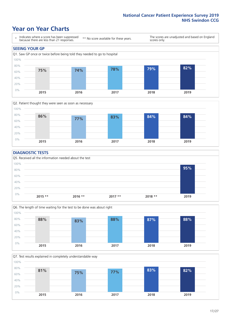### **Year on Year Charts**





#### **DIAGNOSTIC TESTS**





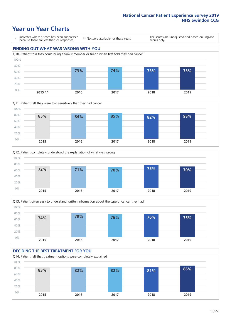### **Year on Year Charts**

\* Indicates where a score has been suppressed because there are less than 21 responses.

\*\* No score available for these years.

The scores are unadjusted and based on England scores only.









#### **DECIDING THE BEST TREATMENT FOR YOU** Q14. Patient felt that treatment options were completely explained 60% 80% 100% **83% 82% 82% 81% 86%**

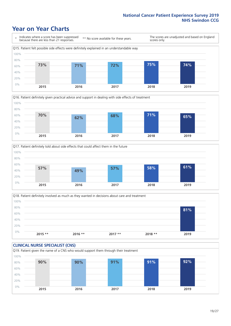### **Year on Year Charts**







Q18. Patient definitely involved as much as they wanted in decisions about care and treatment  $0%$ 20% 40% 60% 80% 100% **2015 \*\* 2016 \*\* 2017 \*\* 2018 \*\* 2019 81%**

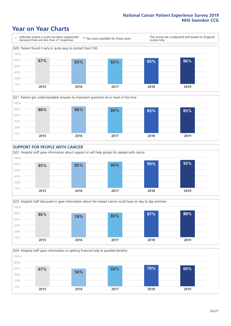### **Year on Year Charts**









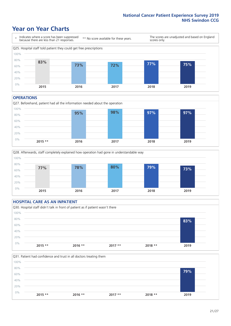### **Year on Year Charts**



#### **OPERATIONS**





#### **HOSPITAL CARE AS AN INPATIENT** Q30. Hospital staff didn't talk in front of patient as if patient wasn't there 0% 20% 40% 60% 80% 100% **2015 \*\* 2016 \*\* 2017 \*\* 2018 \*\* 2019 83%**

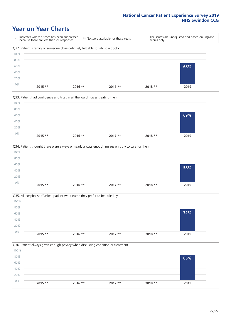### **Year on Year Charts**









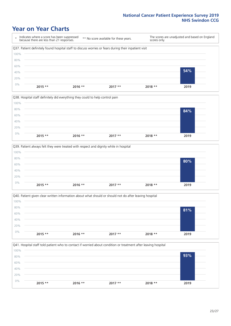### **Year on Year Charts**









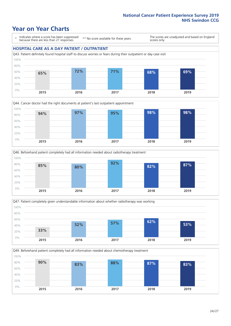### **Year on Year Charts**

\* Indicates where a score has been suppressed because there are less than 21 responses.

\*\* No score available for these years.

The scores are unadjusted and based on England scores only.

#### **HOSPITAL CARE AS A DAY PATIENT / OUTPATIENT**









Q49. Beforehand patient completely had all information needed about chemotherapy treatment

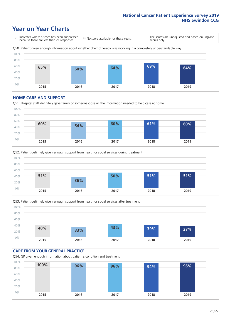### **Year on Year Charts**

\* Indicates where a score has been suppressed because there are less than 21 responses. \*\* No score available for these years. The scores are unadjusted and based on England scores only. Q50. Patient given enough information about whether chemotherapy was working in a completely understandable way 0% 20% 40% 60% 80% 100% **2015 2016 2017 2018 2019 65% 60% 64% 69% 64%**

#### **HOME CARE AND SUPPORT**







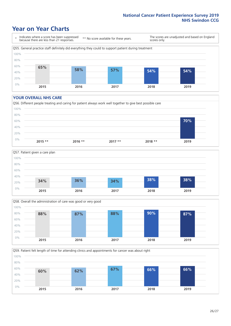### **Year on Year Charts**

\* Indicates where a score has been suppressed because there are less than 21 responses.

\*\* No score available for these years.

The scores are unadjusted and based on England scores only.



#### **YOUR OVERALL NHS CARE**







Q59. Patient felt length of time for attending clinics and appointments for cancer was about right